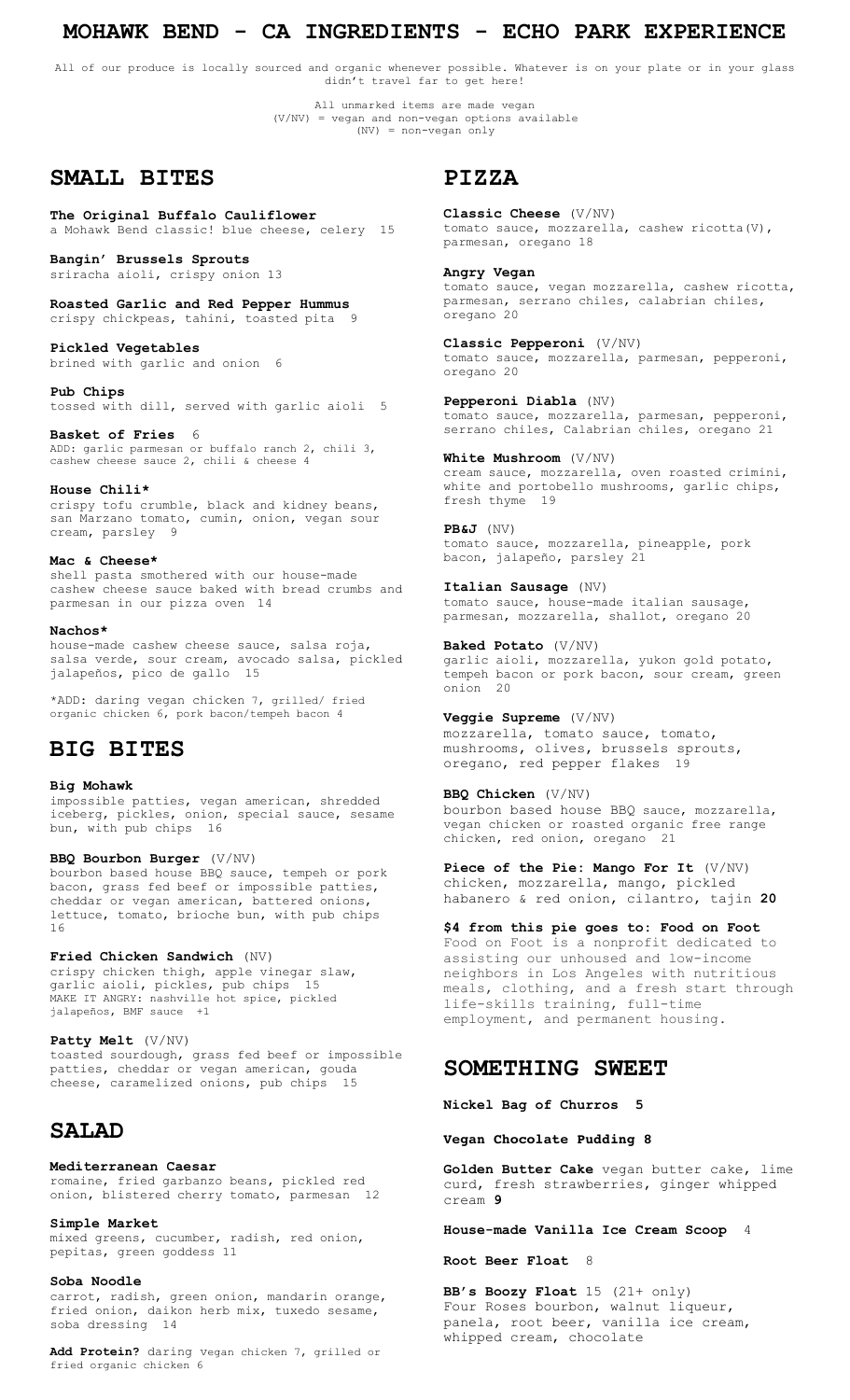### **MOHAWK BEND - CA INGREDIENTS - ECHO PARK EXPERIENCE**

All of our produce is locally sourced and organic whenever possible. Whatever is on your plate or in your glass didn't travel far to get here!

> All unmarked items are made vegan (V/NV) = vegan and non-vegan options available (NV) = non-vegan only

# **SMALL BITES**

**The Original Buffalo Cauliflower** a Mohawk Bend classic! blue cheese, celery 15

**Bangin' Brussels Sprouts** sriracha aioli, crispy onion 13

**Roasted Garlic and Red Pepper Hummus** crispy chickpeas, tahini, toasted pita 9

**Pickled Vegetables** brined with garlic and onion 6

**Pub Chips** tossed with dill, served with garlic aioli 5

**Basket of Fries** 6 ADD: garlic parmesan or buffalo ranch 2, chili 3, cashew cheese sauce 2, chili & cheese 4

**House Chili\*** crispy tofu crumble, black and kidney beans, san Marzano tomato, cumin, onion, vegan sour<br>cream, parslev 9 cream, parsley

#### **Mac & Cheese\***

shell pasta smothered with our house-made cashew cheese sauce baked with bread crumbs and parmesan in our pizza oven 14

#### **Nachos\***

house-made cashew cheese sauce, salsa roja, salsa verde, sour cream, avocado salsa, pickled jalapeños, pico de gallo 15

\*ADD: daring vegan chicken 7, grilled/ fried organic chicken 6, pork bacon/tempeh bacon 4

## **BIG BITES**

#### **Big Mohawk**

impossible patties, vegan american, shredded iceberg, pickles, onion, special sauce, sesame bun, with pub chips 16

#### **BBQ Bourbon Burger** (V/NV)

bourbon based house BBQ sauce, tempeh or pork bacon, grass fed beef or impossible patties, cheddar or vegan american, battered onions, lettuce, tomato, brioche bun, with pub chips 16

**Fried Chicken Sandwich** (NV) crispy chicken thigh, apple vinegar slaw, garlic aioli, pickles, pub chips 15 MAKE IT ANGRY: nashville hot spice, pickled jalapeños, BMF sauce +1

**Patty Melt** (V/NV) toasted sourdough, grass fed beef or impossible patties, cheddar or vegan american, gouda cheese, caramelized onions, pub chips 15

# **SALAD**

#### **Mediterranean Caesar**

romaine, fried garbanzo beans, pickled red onion, blistered cherry tomato, parmesan 12

**Simple Market**

mixed greens, cucumber, radish, red onion, pepitas, green goddess 11

#### **Soba Noodle**

carrot, radish, green onion, mandarin orange, fried onion, daikon herb mix, tuxedo sesame, soba dressing 14

**Add Protein?** daring vegan chicken 7, grilled or fried organic chicken 6

## **PIZZA**

**Classic Cheese** (V/NV) tomato sauce, mozzarella, cashew ricotta(V), parmesan, oregano 18

**Angry Vegan** 

tomato sauce, vegan mozzarella, cashew ricotta, parmesan, serrano chiles, calabrian chiles, oregano 20

**Classic Pepperoni** (V/NV) tomato sauce, mozzarella, parmesan, pepperoni, oregano 20

**Pepperoni Diabla** (NV) tomato sauce, mozzarella, parmesan, pepperoni, serrano chiles, Calabrian chiles, oregano 21

**White Mushroom** (V/NV) cream sauce, mozzarella, oven roasted crimini, white and portobello mushrooms, garlic chips, fresh thyme 19

**PB&J** (NV) tomato sauce, mozzarella, pineapple, pork bacon, jalapeño, parsley 21

**Italian Sausage** (NV) tomato sauce, house-made italian sausage, parmesan, mozzarella, shallot, oregano 20

**Baked Potato** (V/NV) garlic aioli, mozzarella, yukon gold potato, tempeh bacon or pork bacon, sour cream, green onion 20

**Veggie Supreme** (V/NV) mozzarella, tomato sauce, tomato, mushrooms, olives, brussels sprouts, oregano, red pepper flakes 19

**BBQ Chicken** (V/NV) bourbon based house BBQ sauce, mozzarella, vegan chicken or roasted organic free range chicken, red onion, oregano 21

**Piece of the Pie: Mango For It** (V/NV) chicken, mozzarella, mango, pickled habanero & red onion, cilantro, tajin **20**

**\$4 from this pie goes to: Food on Foot**  Food on Foot is a nonprofit dedicated to assisting our unhoused and low-income neighbors in Los Angeles with nutritious meals, clothing, and a fresh start through life-skills training, full-time employment, and permanent housing.

### **SOMETHING SWEET**

**Nickel Bag of Churros 5**

**Vegan Chocolate Pudding 8**

**Golden Butter Cake** vegan butter cake, lime curd, fresh strawberries, ginger whipped cream **9**

**House-made Vanilla Ice Cream Scoop** 4

**Root Beer Float** 8

**BB's Boozy Float** 15 (21+ only) Four Roses bourbon, walnut liqueur, panela, root beer, vanilla ice cream, whipped cream, chocolate